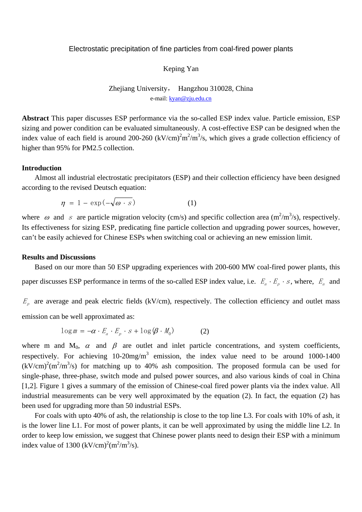### Electrostatic precipitation of fine particles from coal-fired power plants

### Keping Yan

Zhejiang University, Hangzhou 310028, China e-mail: kyan@zju.edu.cn

**Abstract** This paper discusses ESP performance via the so-called ESP index value. Particle emission, ESP sizing and power condition can be evaluated simultaneously. A cost-effective ESP can be designed when the index value of each field is around 200-260  $(kV/cm)^{2}m^{2}/m^{3}/s$ , which gives a grade collection efficiency of higher than 95% for PM2.5 collection.

### **Introduction**

Almost all industrial electrostatic precipitators (ESP) and their collection efficiency have been designed according to the revised Deutsch equation:

$$
\eta = 1 - \exp(-\sqrt{\omega} \cdot s) \tag{1}
$$

where  $\omega$  and  $s$  are particle migration velocity (cm/s) and specific collection area (m<sup>2</sup>/m<sup>3</sup>/s), respectively. Its effectiveness for sizing ESP, predicating fine particle collection and upgrading power sources, however, can't be easily achieved for Chinese ESPs when switching coal or achieving an new emission limit.

### **Results and Discussions**

Based on our more than 50 ESP upgrading experiences with 200-600 MW coal-fired power plants, this paper discusses ESP performance in terms of the so-called ESP index value, i.e.  $E_a \cdot E_p \cdot s$ , where,  $E_a$  and

 $E_p$  are average and peak electric fields (kV/cm), respectively. The collection efficiency and outlet mass emission can be well approximated as:

$$
\log m = -\alpha \cdot E_a \cdot E_p \cdot s + \log(\beta \cdot M_0) \tag{2}
$$

where m and  $M_0$ ,  $\alpha$  and  $\beta$  are outlet and inlet particle concentrations, and system coefficients, respectively. For achieving  $10{\text -}20$ mg/m<sup>3</sup> emission, the index value need to be around  $1000{\text -}1400$  $(kV/cm)^{2}(m^{2}/m^{3}/s)$  for matching up to 40% ash composition. The proposed formula can be used for single-phase, three-phase, switch mode and pulsed power sources, and also various kinds of coal in China [1,2]. Figure 1 gives a summary of the emission of Chinese-coal fired power plants via the index value. All industrial measurements can be very well approximated by the equation (2). In fact, the equation (2) has been used for upgrading more than 50 industrial ESPs.

For coals with upto 40% of ash, the relationship is close to the top line L3. For coals with 10% of ash, it is the lower line L1. For most of power plants, it can be well approximated by using the middle line L2. In order to keep low emission, we suggest that Chinese power plants need to design their ESP with a minimum index value of 1300  $(kV/cm)^2(m^2/m^3/s)$ .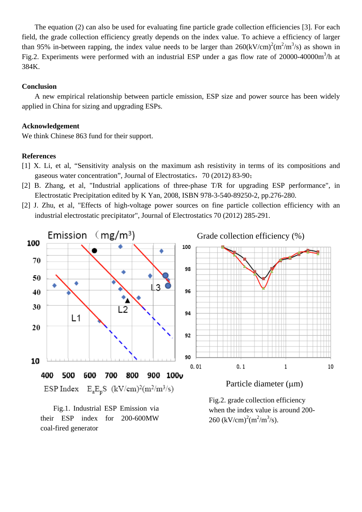The equation (2) can also be used for evaluating fine particle grade collection efficiencies [3]. For each field, the grade collection efficiency greatly depends on the index value. To achieve a efficiency of larger than 95% in-between rapping, the index value needs to be larger than  $260 \times V/cm^2 \cdot (m^2/m^3/s)$  as shown in Fig.2. Experiments were performed with an industrial ESP under a gas flow rate of  $20000-40000$ m<sup>3</sup>/h at 384K.

## **Conclusion**

A new empirical relationship between particle emission, ESP size and power source has been widely applied in China for sizing and upgrading ESPs.

## **Acknowledgement**

We think Chinese 863 fund for their support.

## **References**

- [1] X. Li, et al, "Sensitivity analysis on the maximum ash resistivity in terms of its compositions and gaseous water concentration", Journal of Electrostatics,70 (2012) 83-90;
- [2] B. Zhang, et al, "Industrial applications of three-phase T/R for upgrading ESP performance", in Electrostatic Precipitation edited by K Yan, 2008, ISBN 978-3-540-89250-2, pp.276-280.
- [2] J. Zhu, et al, "Effects of high-voltage power sources on fine particle collection efficiency with an industrial electrostatic precipitator", Journal of Electrostatics 70 (2012) 285-291.



Fig.1. Industrial ESP Emission via their ESP index for 200-600MW coal-fired generator

Fig.2. grade collection efficiency when the index value is around 200- 260 (kV/cm)<sup>2</sup>(m<sup>2</sup>/m<sup>3</sup>/s).